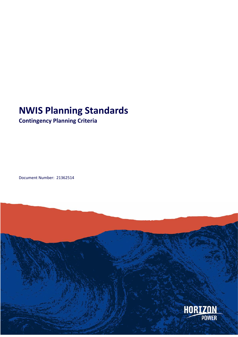# **NWIS Planning Standards**

# **Contingency Planning Criteria**

Document Number: 21362514

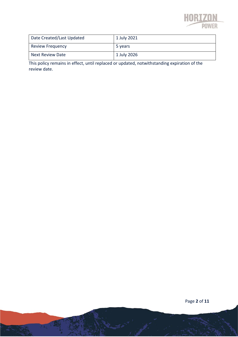

| Date Created/Last Updated | 1 July 2021 |
|---------------------------|-------------|
| <b>Review Frequency</b>   | 5 years     |
| <b>Next Review Date</b>   | 1 July 2026 |

This policy remains in effect, until replaced or updated, notwithstanding expiration of the review date.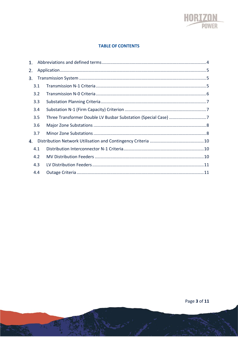

#### **TABLE OF CONTENTS**

| 1. |     |  |  |
|----|-----|--|--|
| 2. |     |  |  |
| 3. |     |  |  |
|    | 3.1 |  |  |
|    | 3.2 |  |  |
|    | 3.3 |  |  |
|    | 3.4 |  |  |
|    | 3.5 |  |  |
|    | 3.6 |  |  |
|    | 3.7 |  |  |
| 4. |     |  |  |
|    | 4.1 |  |  |
|    | 4.2 |  |  |
|    | 4.3 |  |  |
|    | 4.4 |  |  |
|    |     |  |  |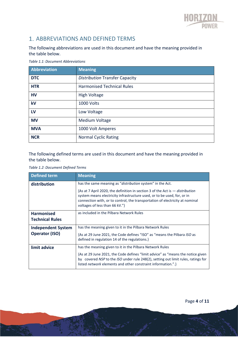

# 1. ABBREVIATIONS AND DEFINED TERMS

The following abbreviations are used in this document and have the meaning provided in the table below.

*Table 1.1: Document Abbreviations*

| Abbreviation | <b>Meaning</b>                        |  |
|--------------|---------------------------------------|--|
| <b>DTC</b>   | <b>Distribution Transfer Capacity</b> |  |
| <b>HTR</b>   | <b>Harmonised Technical Rules</b>     |  |
| <b>HV</b>    | <b>High Voltage</b>                   |  |
| kV           | 1000 Volts                            |  |
| LV           | Low Voltage                           |  |
| <b>MV</b>    | Medium Voltage                        |  |
| <b>MVA</b>   | 1000 Volt Amperes                     |  |
| <b>NCR</b>   | <b>Normal Cyclic Rating</b>           |  |

The following defined terms are used in this document and have the meaning provided in the table below.

*Table 1.2: Document Defined Terms*

| Defined term              | <b>Meaning</b>                                                                                                                                                                                                                                                    |  |
|---------------------------|-------------------------------------------------------------------------------------------------------------------------------------------------------------------------------------------------------------------------------------------------------------------|--|
| distribution              | has the same meaning as "distribution system" in the Act.                                                                                                                                                                                                         |  |
|                           | $\{As at 7 April 2020, the definition in section 3 of the Act is - distributionsystem means electricity infrastructure used, or to be used, for, or inconnection with, or to control, the transportation of electricity at nominalvoltages of less than 66 kV."}$ |  |
| <b>Harmonised</b>         | as included in the Pilbara Network Rules                                                                                                                                                                                                                          |  |
| <b>Technical Rules</b>    |                                                                                                                                                                                                                                                                   |  |
| <b>Independent System</b> | has the meaning given to it in the Pilbara Network Rules                                                                                                                                                                                                          |  |
| <b>Operator (ISO)</b>     | {As at 29 June 2021, the Code defines "ISO" as "means the Pilbara ISO as<br>defined in regulation 14 of the regulations.                                                                                                                                          |  |
| limit advice              | has the meaning given to it in the Pilbara Network Rules                                                                                                                                                                                                          |  |
|                           | {As at 29 June 2021, the Code defines "limit advice" as "means the notice given<br>by covered NSP to the ISO under rule 248(2), setting out limit rules, ratings for<br>listed network elements and other constraint information.".                               |  |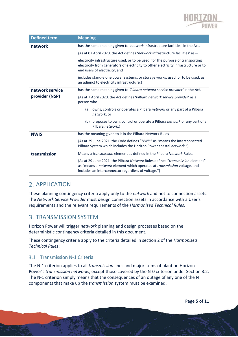

| <b>Defined term</b> | <b>Meaning</b>                                                                                                                                                                                                  |  |  |
|---------------------|-----------------------------------------------------------------------------------------------------------------------------------------------------------------------------------------------------------------|--|--|
| network             | has the same meaning given to 'network infrastructure facilities' in the Act.                                                                                                                                   |  |  |
|                     | {As at 07 April 2020, the Act defines 'network infrastructure facilities' as-                                                                                                                                   |  |  |
|                     | electricity infrastructure used, or to be used, for the purpose of transporting<br>electricity from generators of electricity to other electricity infrastructure or to<br>end users of electricity; and        |  |  |
|                     | includes stand-alone power systems, or storage works, used, or to be used, as<br>an adjunct to electricity infrastructure.}                                                                                     |  |  |
| network service     | has the same meaning given to 'Pilbara network service provider' in the Act.                                                                                                                                    |  |  |
| provider (NSP)      | {As at 7 April 2020, the Act defines 'Pilbara network service provider' as a<br>person who-                                                                                                                     |  |  |
|                     | (a) owns, controls or operates a Pilbara network or any part of a Pilbara<br>network; or                                                                                                                        |  |  |
|                     | (b) proposes to own, control or operate a Pilbara network or any part of a<br>Pilbara network.}                                                                                                                 |  |  |
| <b>NWIS</b>         | has the meaning given to it in the Pilbara Network Rules                                                                                                                                                        |  |  |
|                     | {As at 29 June 2021, the Code defines "NWIS" as "means the interconnected<br>Pilbara System which includes the Horizon Power coastal network."}                                                                 |  |  |
| transmission        | Means a <i>transmission</i> element as defined in the Pilbara Network Rules.                                                                                                                                    |  |  |
|                     | {As at 29 June 2021, the Pilbara Network Rules defines "transmission element"<br>as "means a network element which operates at transmission voltage, and<br>includes an interconnector regardless of voltage."} |  |  |

# 2. APPLICATION

These planning contingency criteria apply only to the *network* and not to connection assets. The *Network Service Provider* must design connection assets in accordance with a User's requirements and the relevant requirements of the *Harmonised Technical Rules*.

## 3. TRANSMISSION SYSTEM

Horizon Power will trigger *network* planning and design processes based on the deterministic contingency criteria detailed in this document.

These contingency criteria apply to the criteria detailed in section 2 of the *Harmonised Technical Rules*:

## 3.1 Transmission N-1 Criteria

The N-1 criterion applies to all *transmission* lines and major items of plant on Horizon Power's *transmission network*s, except those covered by the N-0 criterion under Section 3.2. The N-1 criterion simply means that the consequences of an outage of any one of the N components that make up the *transmission* system must be examined.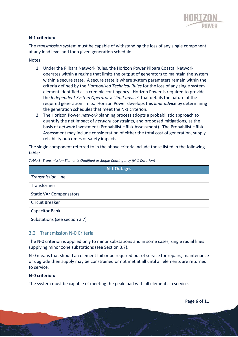

#### **N-1 criterion:**

The *transmission* system must be capable of withstanding the loss of any single component at any load level and for a given generation schedule.

Notes:

- 1. Under the Pilbara Network Rules, the Horizon Power Pilbara Coastal Network operates within a regime that limits the output of generators to maintain the system within a secure state. A secure state is where system parameters remain within the criteria defined by the *Harmonised Technical Rules* for the loss of any single system element identified as a credible contingency. Horizon Power is required to provide the *Independent System Operator* a "*limit advice*" that details the nature of the required generation limits. Horizon Power develops this *limit advice* by determining the generation schedules that meet the N-1 criterion.
- 2. The Horizon Power *network* planning process adopts a probabilistic approach to quantify the net impact of *network* constraints, and proposed mitigations, as the basis of *network* investment (Probabilistic Risk Assessment). The Probabilistic Risk Assessment may include consideration of either the total cost of generation, supply reliability outcomes or safety impacts.

The single component referred to in the above criteria include those listed in the following table:

| <b>N-1 Outages</b>             |  |  |
|--------------------------------|--|--|
| <b>Transmission Line</b>       |  |  |
| Transformer                    |  |  |
| <b>Static VAr Compensators</b> |  |  |
| <b>Circuit Breaker</b>         |  |  |
| Capacitor Bank                 |  |  |
| Substations (see section 3.7)  |  |  |

*Table 3: Transmission Elements Qualified as Single Contingency (N-1 Criterion)*

#### 3.2 Transmission N-0 Criteria

The N-0 criterion is applied only to minor substations and in some cases, single radial lines supplying minor zone substations (see Section 3.7).

N-0 means that should an element fail or be required out of service for repairs, maintenance or upgrade then supply may be constrained or not met at all until all elements are returned to service.

#### **N-0 criterion:**

The system must be capable of meeting the peak load with all elements in service.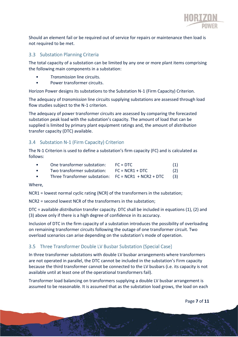

Should an element fail or be required out of service for repairs or maintenance then load is not required to be met.

#### 3.3 Substation Planning Criteria

The total capacity of a substation can be limited by any one or more plant items comprising the following main components in a substation:

- *Transmission* line circuits.
- Power transformer circuits.

Horizon Power designs its substations to the Substation N-1 (Firm Capacity) Criterion.

The adequacy of *transmission* line circuits supplying substations are assessed through load flow studies subject to the N-1 criterion.

The adequacy of power transformer circuits are assessed by comparing the forecasted substation peak load with the substation's capacity. The amount of load that can be supplied is limited by primary plant equipment ratings and, the amount of *distribution*  transfer capacity (DTC) available.

### 3.4 Substation N-1 (Firm Capacity) Criterion

The N-1 Criterion is used to define a substation's firm capacity (FC) and is calculated as follows:

|           | One transformer substation:                            | $FC = DTC$        | (1) |
|-----------|--------------------------------------------------------|-------------------|-----|
| $\bullet$ | Two transformer substation:                            | $FC = NCR1 + DTC$ | (2) |
|           | Three Transformer substation: $FC = NCR1 + NCR2 + DTC$ |                   | (3) |

Where,

NCR1 = lowest normal cyclic rating (NCR) of the transformers in the substation;

NCR2 = second lowest NCR of the transformers in the substation;

DTC = available *distribution* transfer capacity. DTC shall be included in equations (1), (2) and (3) above only if there is a high degree of confidence in its accuracy.

Inclusion of DTC in the firm capacity of a substation introduces the possibility of overloading on remaining transformer circuits following the outage of one transformer circuit. Two overload scenarios can arise depending on the substation's mode of operation.

## 3.5 Three Transformer Double LV Busbar Substation (Special Case)

In three transformer substations with double LV busbar arrangements where transformers are not operated in parallel, the DTC cannot be included in the substation's Firm capacity because the third transformer cannot be connected to the LV busbars (i.e. its capacity is not available until at least one of the operational transformers fail).

Transformer load balancing on transformers supplying a double LV busbar arrangement is assumed to be reasonable. It is assumed that as the substation load grows, the load on each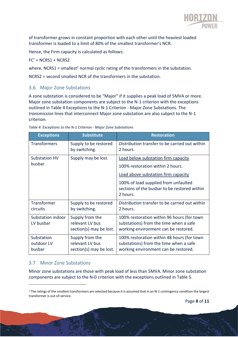

of transformer grows in constant proportion with each other until the heaviest loaded transformer is loaded to a limit of 80% of the smallest transformer's NCR.

Hence, the Firm capacity is calculated as follows:

#### $FC' = NCRS1 + NCRS2$

where, NCRS1 = smallest<sup>1</sup> normal cyclic rating of the transformers in the substation.

NCRS2 = second smallest NCR of the transformers in the substation.

#### 3.6 Major Zone Substations

A zone substation is considered to be "Major" if it supplies a peak load of 5MVA or more. Major zone substation components are subject to the N-1 criterion with the exceptions outlined in Table 4 Exceptions to the N-1 Criterion - Major Zone Substations. The *transmission* lines that interconnect Major zone substation are also subject to the N-1 criterion.

| <b>Exceptions</b>                  | <b>Substitute</b>                                             | <b>Restoration</b>                                                                                                           |
|------------------------------------|---------------------------------------------------------------|------------------------------------------------------------------------------------------------------------------------------|
| <b>Transformers</b>                | Supply to be restored<br>by switching.                        | Distribution transfer to be carried out within<br>2 hours.                                                                   |
| Substation HV                      | Supply may be lost.                                           | Load below substation firm capacity                                                                                          |
| busbar                             |                                                               | 100% restoration within 2 hours.                                                                                             |
|                                    |                                                               | Load above substation firm capacity                                                                                          |
|                                    |                                                               | 100% of load supplied from unfaulted<br>sections of the busbar to be restored within<br>2 hours.                             |
| Transformer<br>circuits            | Supply to be restored<br>by switching.                        | Distribution transfer to be carried out within<br>2 hours.                                                                   |
| Substation indoor<br>LV busbar     | Supply from the<br>relevant LV bus<br>section(s) may be lost. | 100% restoration within 96 hours (for town<br>substations) from the time when a safe<br>working environment can be restored. |
| Substation<br>outdoor LV<br>busbar | Supply from the<br>relevant LV bus<br>section(s) may be lost. | 100% restoration within 48 hours (for town<br>substations) from the time when a safe<br>working environment can be restored. |

*Table 4: Exceptions to the N-1 Criterion - Major Zone Substations*

## 3.7 Minor Zone Substations

Minor zone substations are those with peak load of less than 5MVA. Minor zone substation components are subject to the N-0 criterion with the exceptions outlined in Table 5.

 $1$  The ratings of the smallest transformers are selected because it is assumed that in an N-1 contingency condition the largest transformer is out-of-service.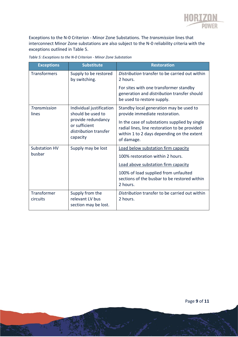

Exceptions to the N-0 Criterion - Minor Zone Substations. The *transmission* lines that interconnect Minor Zone substations are also subject to the N-0 reliability criteria with the exceptions outlined in Table 5.

| <b>Exceptions</b>            | <b>Substitute</b>                                                        | <b>Restoration</b>                                                                                                                                         |
|------------------------------|--------------------------------------------------------------------------|------------------------------------------------------------------------------------------------------------------------------------------------------------|
| <b>Transformers</b>          | Supply to be restored<br>by switching.                                   | Distribution transfer to be carried out within<br>2 hours.                                                                                                 |
|                              |                                                                          | For sites with one transformer standby<br>generation and distribution transfer should<br>be used to restore supply.                                        |
| <b>Transmission</b><br>lines | Individual justification<br>should be used to                            | Standby local generation may be used to<br>provide immediate restoration.                                                                                  |
|                              | provide redundancy<br>or sufficient<br>distribution transfer<br>capacity | In the case of substations supplied by single<br>radial lines, line restoration to be provided<br>within 1 to 2 days depending on the extent<br>of damage. |
| <b>Substation HV</b>         | Supply may be lost                                                       | Load below substation firm capacity                                                                                                                        |
| busbar                       |                                                                          | 100% restoration within 2 hours.                                                                                                                           |
|                              |                                                                          | Load above substation firm capacity                                                                                                                        |
|                              |                                                                          | 100% of load supplied from unfaulted<br>sections of the busbar to be restored within<br>2 hours.                                                           |
| Transformer<br>circuits      | Supply from the<br>relevant LV bus<br>section may be lost.               | Distribution transfer to be carried out within<br>2 hours.                                                                                                 |

*Table 5: Exceptions to the N-0 Criterion - Minor Zone Substation*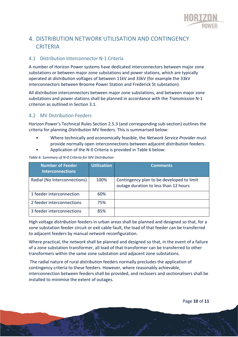

# DISTRIBUTION NETWORK UTILISATION AND CONTINGENCY **CRITERIA**

### 4.1 Distribution Interconnector N-1 Criteria

A number of Horizon Power systems have dedicated interconnectors between major zone substations or between major zone substations and power stations, which are typically operated at *distribution* voltages of between 11kV and 33kV (for example the 33kV interconnectors between Broome Power Station and Frederick St substation).

All *distribution* interconnectors between major zone substations, and between major zone substations and power stations shall be planned in accordance with the *Transmission* N-1 criterion as outlined in Section 3.1.

### 4.2 MV Distribution Feeders

Horizon Power's Technical Rules Section 2.5.3 (and corresponding sub-section) outlines the criteria for planning *Distribution* MV feeders. This is summarised below:

- Where technically and economically feasible, the *Network Service Provider* must provide normally open interconnections between adjacent *distribution* feeders.
- Application of the N-0 Criteria is provided in Table 6 below:

| <b>Number of Feeder</b><br><b>Interconnections</b> | <b>Utilisation</b> | <b>Comments</b>                                                                    |
|----------------------------------------------------|--------------------|------------------------------------------------------------------------------------|
| Radial (No Interconnections)                       | 100%               | Contingency plan to be developed to limit<br>outage duration to less than 12 hours |
| 1 feeder interconnection                           | 60%                |                                                                                    |
| 2 feeder interconnections                          | 75%                |                                                                                    |
| 3 feeder interconnections                          | 85%                |                                                                                    |

*Table 6: Summary of N-0 Criteria for MV Distribution*

High voltage *distribution* feeders in urban areas shall be planned and designed so that, for a zone substation feeder circuit or exit cable fault, the load of that feeder can be transferred to adjacent feeders by manual *network* reconfiguration.

Where practical, the *network* shall be planned and designed so that, in the event of a failure of a zone substation transformer, all load of that transformer can be transferred to other transformers within the same zone substation and adjacent zone substations.

The radial nature of rural *distribution* feeders normally precludes the application of contingency criteria to these feeders. However, where reasonably achievable, interconnection between feeders shall be provided, and reclosers and sectionalisers shall be installed to minimise the extent of outages.